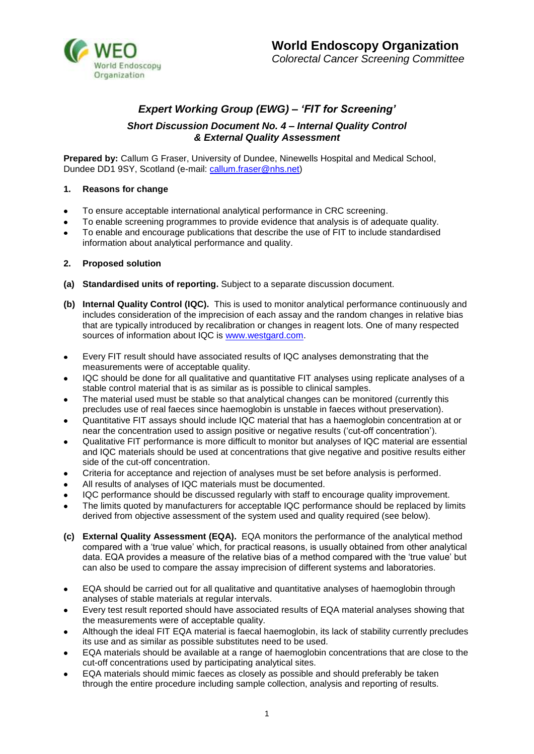

# *Expert Working Group (EWG) – 'FIT for Screening'*

# *Short Discussion Document No. 4 – Internal Quality Control & External Quality Assessment*

**Prepared by:** Callum G Fraser, University of Dundee, Ninewells Hospital and Medical School, Dundee DD1 9SY, Scotland (e-mail: [callum.fraser@nhs.net\)](mailto:callum.fraser@nhs.net)

## **1. Reasons for change**

- To ensure acceptable international analytical performance in CRC screening.  $\bullet$
- To enable screening programmes to provide evidence that analysis is of adequate quality.
- To enable and encourage publications that describe the use of FIT to include standardised information about analytical performance and quality.

# **2. Proposed solution**

- **(a) Standardised units of reporting.** Subject to a separate discussion document.
- **(b) Internal Quality Control (IQC).** This is used to monitor analytical performance continuously and includes consideration of the imprecision of each assay and the random changes in relative bias that are typically introduced by recalibration or changes in reagent lots. One of many respected sources of information about IQC is [www.westgard.com.](http://www.westgard.com/)
- Every FIT result should have associated results of IQC analyses demonstrating that the measurements were of acceptable quality.
- IQC should be done for all qualitative and quantitative FIT analyses using replicate analyses of a  $\bullet$ stable control material that is as similar as is possible to clinical samples.
- The material used must be stable so that analytical changes can be monitored (currently this precludes use of real faeces since haemoglobin is unstable in faeces without preservation).
- Quantitative FIT assays should include IQC material that has a haemoglobin concentration at or  $\bullet$ near the concentration used to assign positive or negative results ('cut-off concentration').
- Qualitative FIT performance is more difficult to monitor but analyses of IQC material are essential  $\bullet$ and IQC materials should be used at concentrations that give negative and positive results either side of the cut-off concentration.
- Criteria for acceptance and rejection of analyses must be set before analysis is performed.  $\bullet$
- All results of analyses of IQC materials must be documented.
- IQC performance should be discussed regularly with staff to encourage quality improvement.
- The limits quoted by manufacturers for acceptable IQC performance should be replaced by limits derived from objective assessment of the system used and quality required (see below).
- **(c) External Quality Assessment (EQA).** EQA monitors the performance of the analytical method compared with a 'true value' which, for practical reasons, is usually obtained from other analytical data. EQA provides a measure of the relative bias of a method compared with the 'true value' but can also be used to compare the assay imprecision of different systems and laboratories.
- EQA should be carried out for all qualitative and quantitative analyses of haemoglobin through  $\bullet$ analyses of stable materials at regular intervals.
- Every test result reported should have associated results of EQA material analyses showing that the measurements were of acceptable quality.
- Although the ideal FIT EQA material is faecal haemoglobin, its lack of stability currently precludes  $\bullet$ its use and as similar as possible substitutes need to be used.
- EQA materials should be available at a range of haemoglobin concentrations that are close to the cut-off concentrations used by participating analytical sites.
- EQA materials should mimic faeces as closely as possible and should preferably be taken through the entire procedure including sample collection, analysis and reporting of results.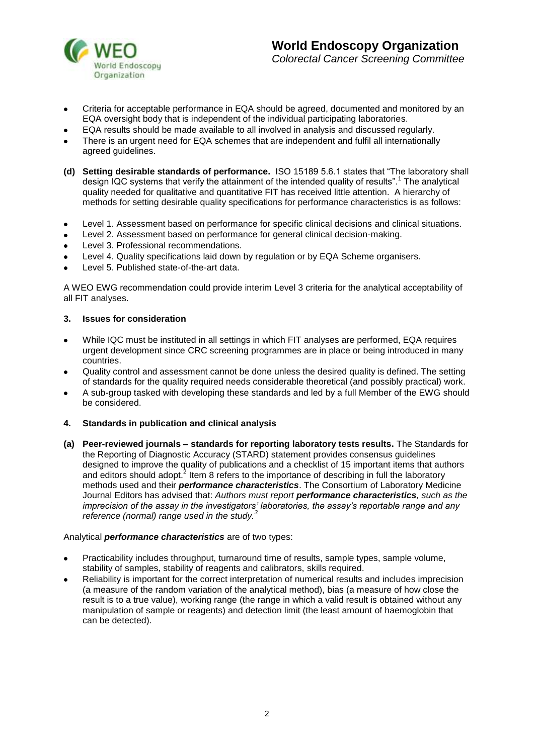

- Criteria for acceptable performance in EQA should be agreed, documented and monitored by an EQA oversight body that is independent of the individual participating laboratories.
- EQA results should be made available to all involved in analysis and discussed regularly.
- There is an urgent need for EQA schemes that are independent and fulfil all internationally agreed guidelines.
- **(d) Setting desirable standards of performance.** ISO 15189 5.6.1 states that "The laboratory shall design IQC systems that verify the attainment of the intended quality of results".<sup>1</sup> The analytical quality needed for qualitative and quantitative FIT has received little attention. A hierarchy of methods for setting desirable quality specifications for performance characteristics is as follows:
- $\bullet$ Level 1. Assessment based on performance for specific clinical decisions and clinical situations.
- Level 2. Assessment based on performance for general clinical decision-making.  $\bullet$
- Level 3. Professional recommendations.  $\bullet$
- Level 4. Quality specifications laid down by regulation or by EQA Scheme organisers.  $\bullet$
- $\bullet$ Level 5. Published state-of-the-art data.

A WEO EWG recommendation could provide interim Level 3 criteria for the analytical acceptability of all FIT analyses.

#### **3. Issues for consideration**

- While IQC must be instituted in all settings in which FIT analyses are performed, EQA requires  $\bullet$ urgent development since CRC screening programmes are in place or being introduced in many countries.
- Quality control and assessment cannot be done unless the desired quality is defined. The setting of standards for the quality required needs considerable theoretical (and possibly practical) work.
- A sub-group tasked with developing these standards and led by a full Member of the EWG should be considered.
- **4. Standards in publication and clinical analysis**
- **(a) Peer-reviewed journals – standards for reporting laboratory tests results.** The Standards for the Reporting of Diagnostic Accuracy (STARD) statement provides consensus guidelines designed to improve the quality of publications and a checklist of 15 important items that authors and editors should adopt.<sup>2</sup> Item 8 refers to the importance of describing in full the laboratory methods used and their *performance characteristics*. The Consortium of Laboratory Medicine Journal Editors has advised that: *Authors must report performance characteristics, such as the imprecision of the assay in the investigators' laboratories, the assay's reportable range and any reference (normal) range used in the study.<sup>3</sup>*

### Analytical *performance characteristics* are of two types:

- Practicability includes throughput, turnaround time of results, sample types, sample volume, stability of samples, stability of reagents and calibrators, skills required.
- Reliability is important for the correct interpretation of numerical results and includes imprecision (a measure of the random variation of the analytical method), bias (a measure of how close the result is to a true value), working range (the range in which a valid result is obtained without any manipulation of sample or reagents) and detection limit (the least amount of haemoglobin that can be detected).